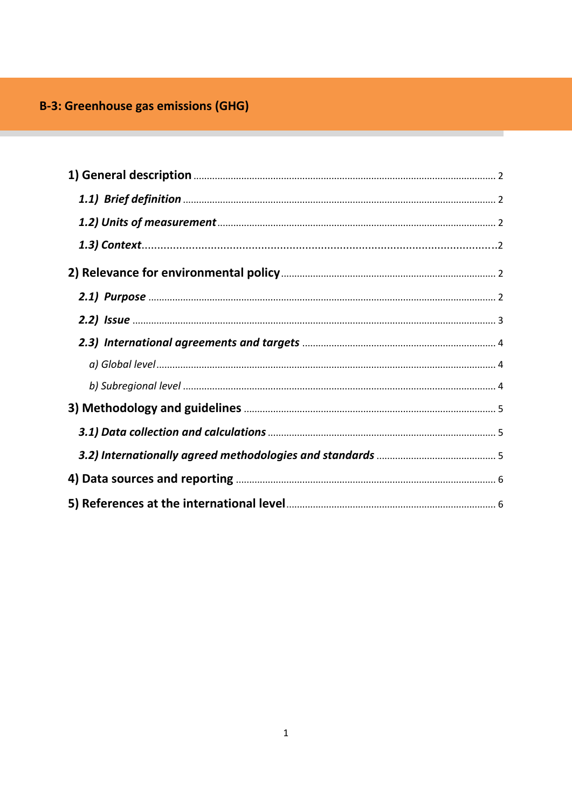# <span id="page-0-0"></span>**B-3: Greenhouse gas emissions (GHG)**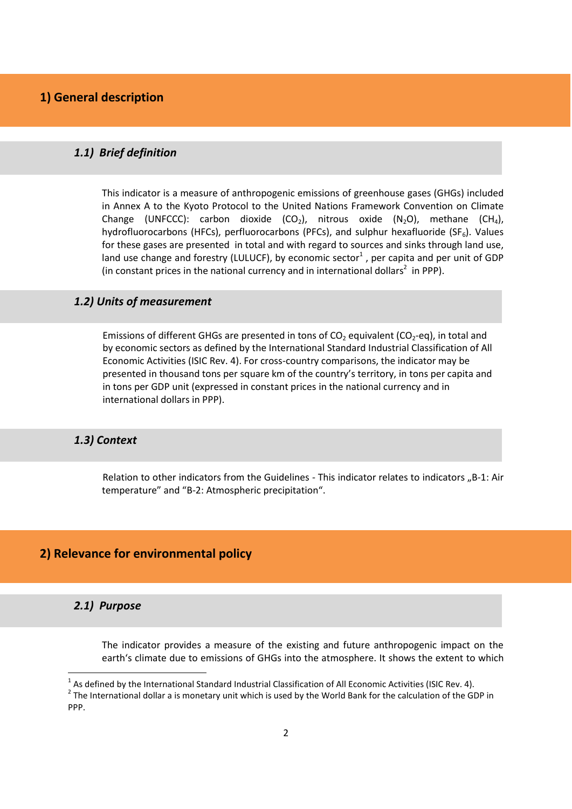# <span id="page-1-1"></span><span id="page-1-0"></span>*[1.1\) Brief definition](#page-0-0)*

This indicator is a measure of anthropogenic emissions of greenhouse gases (GHGs) included in Annex A to the Kyoto Protocol to the United Nations Framework Convention on Climate Change (UNFCCC): carbon dioxide (CO<sub>2</sub>), nitrous oxide (N<sub>2</sub>O), methane (CH<sub>4</sub>), hydrofluorocarbons (HFCs), perfluorocarbons (PFCs), and sulphur hexafluoride (SF $_6$ ). Values for these gases are presented in total and with regard to sources and sinks through land use, land use change and forestry (LULUCF), by economic sector<sup>1</sup>, per capita and per unit of GDP (in constant prices in the national currency and in international dollars<sup>2</sup> in PPP).

## <span id="page-1-2"></span>*[1.2\) Units of measurement](#page-0-0)*

Emissions of different GHGs are presented in tons of  $CO<sub>2</sub>$  equivalent ( $CO<sub>2</sub>$ -eq), in total and by economic sectors as defined by the International Standard Industrial Classification of All Economic Activities (ISIC Rev. 4). For cross-country comparisons, the indicator may be presented in thousand tons per square km of the country's territory, in tons per capita and in tons per GDP unit (expressed in constant prices in the national currency and in international dollars in PPP).

# <span id="page-1-3"></span>*1.3) [Context](#page-0-0)*

Relation to other indicators from the Guidelines - This indicator relates to indicators "B-1: Air temperature" and "B-2: Atmospheric precipitation".

# <span id="page-1-5"></span><span id="page-1-4"></span>**[2\) Relevance for environmental policy](#page-0-0)**

## *[2.1\) Purpose](#page-0-0)*

**.** 

The indicator provides a measure of the existing and future anthropogenic impact on the earth's climate due to emissions of GHGs into the atmosphere. It shows the extent to which

 $2$  The International dollar a is monetary unit which is used by the World Bank for the calculation of the GDP in PPP.

 $^1$  As defined by the International Standard Industrial Classification of All Economic Activities (ISIC Rev. 4).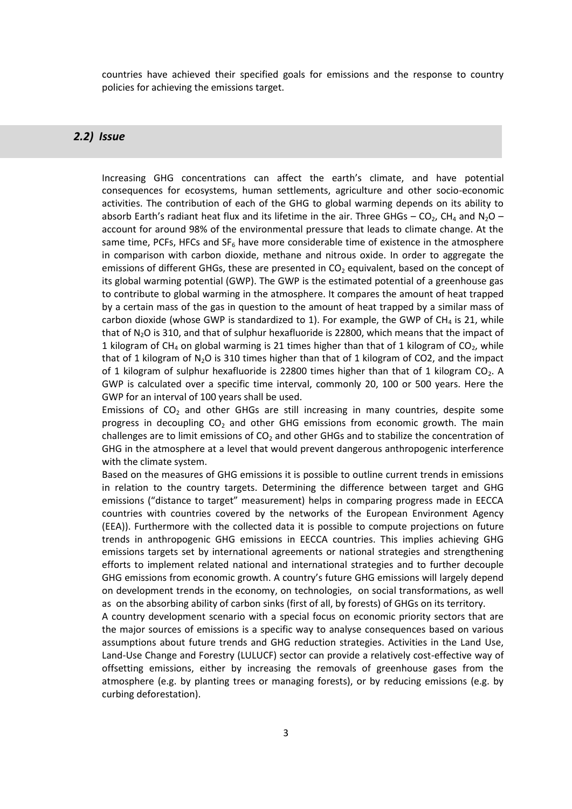countries have achieved their specified goals for emissions and the response to country policies for achieving the emissions target.

# <span id="page-2-0"></span>*[2.2\) Issue](#page-0-0)*

Increasing GHG concentrations can affect the earth's climate, and have potential consequences for ecosystems, human settlements, agriculture and other socio-economic activities. The contribution of each of the GHG to global warming depends on its ability to absorb Earth's radiant heat flux and its lifetime in the air. Three GHGs – CO<sub>2</sub>, CH<sub>4</sub> and N<sub>2</sub>O – account for around 98% of the environmental pressure that leads to climate change. At the same time, PCFs, HFCs and  $SF<sub>6</sub>$  have more considerable time of existence in the atmosphere in comparison with carbon dioxide, methane and nitrous oxide. In order to aggregate the emissions of different GHGs, these are presented in  $CO<sub>2</sub>$  equivalent, based on the concept of its global warming potential (GWP). The GWP is the estimated potential of a greenhouse gas to contribute to global warming in the atmosphere. It compares the amount of heat trapped by a certain mass of the gas in question to the amount of heat trapped by a similar mass of carbon dioxide (whose GWP is standardized to 1). For example, the GWP of  $CH<sub>4</sub>$  is 21, while that of  $N_2O$  is 310, and that of sulphur hexafluoride is 22800, which means that the impact of 1 kilogram of CH<sub>4</sub> on global warming is 21 times higher than that of 1 kilogram of CO<sub>2</sub>, while that of 1 kilogram of  $N_2O$  is 310 times higher than that of 1 kilogram of CO2, and the impact of 1 kilogram of sulphur hexafluoride is 22800 times higher than that of 1 kilogram  $CO<sub>2</sub>$ . A GWP is calculated over a specific time interval, commonly 20, 100 or 500 years. Here the GWP for an interval of 100 years shall be used.

Emissions of  $CO<sub>2</sub>$  and other GHGs are still increasing in many countries, despite some progress in decoupling  $CO<sub>2</sub>$  and other GHG emissions from economic growth. The main challenges are to limit emissions of  $CO<sub>2</sub>$  and other GHGs and to stabilize the concentration of GHG in the atmosphere at a level that would prevent dangerous anthropogenic interference with the climate system.

Based on the measures of GHG emissions it is possible to outline current trends in emissions in relation to the country targets. Determining the difference between target and GHG emissions ("distance to target" measurement) helps in comparing progress made in EECCA countries with countries covered by the networks of the European Environment Agency (EEA)). Furthermore with the collected data it is possible to compute projections on future trends in anthropogenic GHG emissions in EECCA countries. This implies achieving GHG emissions targets set by international agreements or national strategies and strengthening efforts to implement related national and international strategies and to further decouple GHG emissions from economic growth. A country's future GHG emissions will largely depend on development trends in the economy, on technologies, on social transformations, as well as on the absorbing ability of carbon sinks (first of all, by forests) of GHGs on its territory.

A country development scenario with a special focus on economic priority sectors that are the major sources of emissions is a specific way to analyse consequences based on various assumptions about future trends and GHG reduction strategies. Activities in the Land Use, Land-Use Change and Forestry (LULUCF) sector can provide a relatively cost-effective way of offsetting emissions, either by increasing the removals of greenhouse gases from the atmosphere (e.g. by planting trees or managing forests), or by reducing emissions (e.g. by curbing deforestation).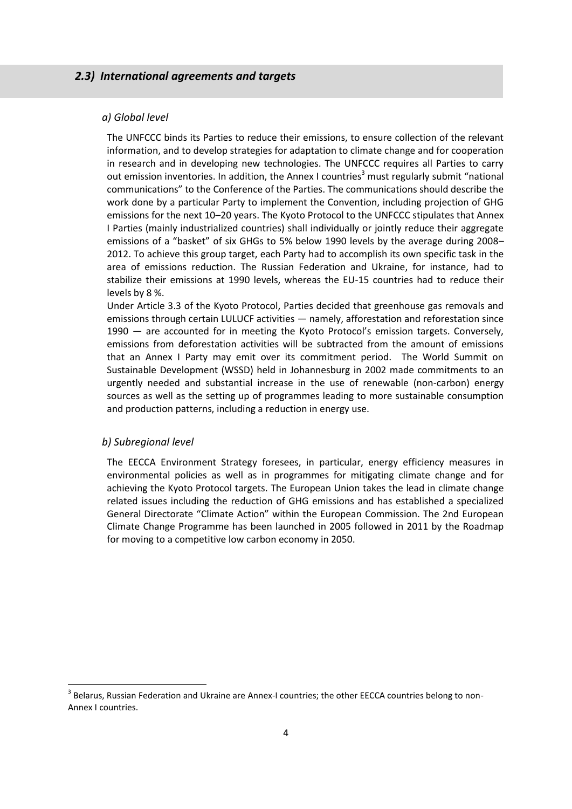## <span id="page-3-1"></span><span id="page-3-0"></span>*[2.3\) International agreements and targets](#page-0-0)*

#### *[a\) Global](#page-0-0) level*

The UNFCCC binds its Parties to reduce their emissions, to ensure collection of the relevant information, and to develop strategies for adaptation to climate change and for cooperation in research and in developing new technologies. The UNFCCC requires all Parties to carry out emission inventories. In addition, the Annex I countries<sup>3</sup> must regularly submit "national communications" to the Conference of the Parties. The communications should describe the work done by a particular Party to implement the Convention, including projection of GHG emissions for the next 10–20 years. The Kyoto Protocol to the UNFCCC stipulates that Annex I Parties (mainly industrialized countries) shall individually or jointly reduce their aggregate emissions of a "basket" of six GHGs to 5% below 1990 levels by the average during 2008– 2012. To achieve this group target, each Party had to accomplish its own specific task in the area of emissions reduction. The Russian Federation and Ukraine, for instance, had to stabilize their emissions at 1990 levels, whereas the EU-15 countries had to reduce their levels by 8 %.

Under Article 3.3 of the Kyoto Protocol, Parties decided that greenhouse gas removals and emissions through certain LULUCF activities — namely, afforestation and reforestation since 1990 — are accounted for in meeting the Kyoto Protocol's emission targets. Conversely, emissions from deforestation activities will be subtracted from the amount of emissions that an Annex I Party may emit over its commitment period. The World Summit on Sustainable Development (WSSD) held in Johannesburg in 2002 made commitments to an urgently needed and substantial increase in the use of renewable (non-carbon) energy sources as well as the setting up of programmes leading to more sustainable consumption and production patterns, including a reduction in energy use.

#### <span id="page-3-2"></span>*[b\) Subregional](#page-0-0) level*

 $\overline{a}$ 

The EECCA Environment Strategy foresees, in particular, energy efficiency measures in environmental policies as well as in programmes for mitigating climate change and for achieving the Kyoto Protocol targets. The European Union takes the lead in climate change related issues including the reduction of GHG emissions and has established a specialized General Directorate "Climate Action" within the European Commission. The 2nd European Climate Change Programme has been launched in 2005 followed in 2011 by the Roadmap for moving to a competitive low carbon economy in 2050.

<sup>&</sup>lt;sup>3</sup> Belarus, Russian Federation and Ukraine are Annex-I countries; the other EECCA countries belong to non-Annex I countries.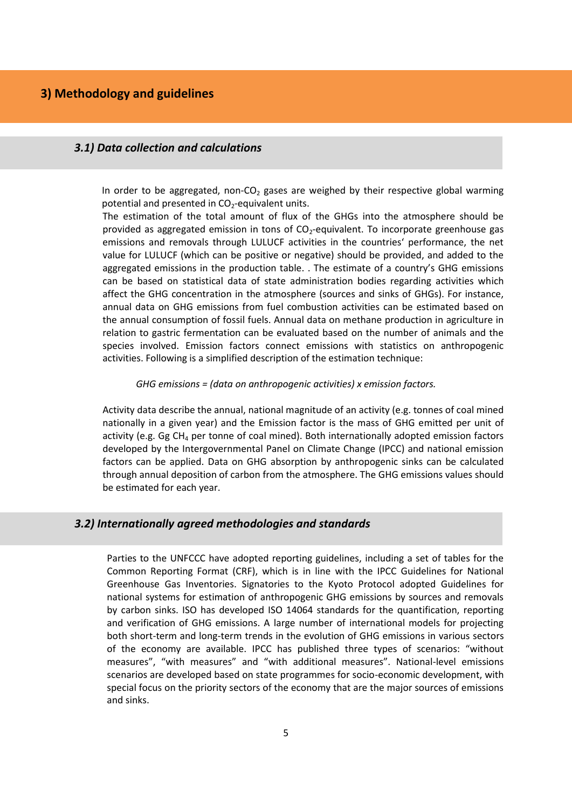# <span id="page-4-1"></span><span id="page-4-0"></span>*[3.1\) Data collection and calculations](#page-0-0)*

In order to be aggregated, non-CO<sub>2</sub> gases are weighed by their respective global warming potential and presented in  $CO<sub>2</sub>$ -equivalent units.

The estimation of the total amount of flux of the GHGs into the atmosphere should be provided as aggregated emission in tons of  $CO<sub>2</sub>$ -equivalent. To incorporate greenhouse gas emissions and removals through LULUCF activities in the countries' performance, the net value for LULUCF (which can be positive or negative) should be provided, and added to the aggregated emissions in the production table. . The estimate of a country's GHG emissions can be based on statistical data of state administration bodies regarding activities which affect the GHG concentration in the atmosphere (sources and sinks of GHGs). For instance, annual data on GHG emissions from fuel combustion activities can be estimated based on the annual consumption of fossil fuels. Annual data on methane production in agriculture in relation to gastric fermentation can be evaluated based on the number of animals and the species involved. Emission factors connect emissions with statistics on anthropogenic activities. Following is a simplified description of the estimation technique:

#### *GHG emissions = (data on anthropogenic activities) x emission factors.*

Activity data describe the annual, national magnitude of an activity (e.g. tonnes of coal mined nationally in a given year) and the Emission factor is the mass of GHG emitted per unit of activity (e.g. Gg  $CH<sub>4</sub>$  per tonne of coal mined). Both internationally adopted emission factors developed by the Intergovernmental Panel on Climate Change (IPCC) and national emission factors can be applied. Data on GHG absorption by anthropogenic sinks can be calculated through annual deposition of carbon from the atmosphere. The GHG emissions values should be estimated for each year.

## <span id="page-4-2"></span>*[3.2\) Internationally agreed methodologies and standards](#page-0-0)*

Parties to the UNFCCC have adopted reporting guidelines, including a set of tables for the Common Reporting Format (CRF), which is in line with the IPCC Guidelines for National Greenhouse Gas Inventories. Signatories to the Kyoto Protocol adopted Guidelines for national systems for estimation of anthropogenic GHG emissions by sources and removals by carbon sinks. ISO has developed ISO 14064 standards for the quantification, reporting and verification of GHG emissions. A large number of international models for projecting both short-term and long-term trends in the evolution of GHG emissions in various sectors of the economy are available. IPCC has published three types of scenarios: "without measures", "with measures" and "with additional measures". National-level emissions scenarios are developed based on state programmes for socio-economic development, with special focus on the priority sectors of the economy that are the major sources of emissions and sinks.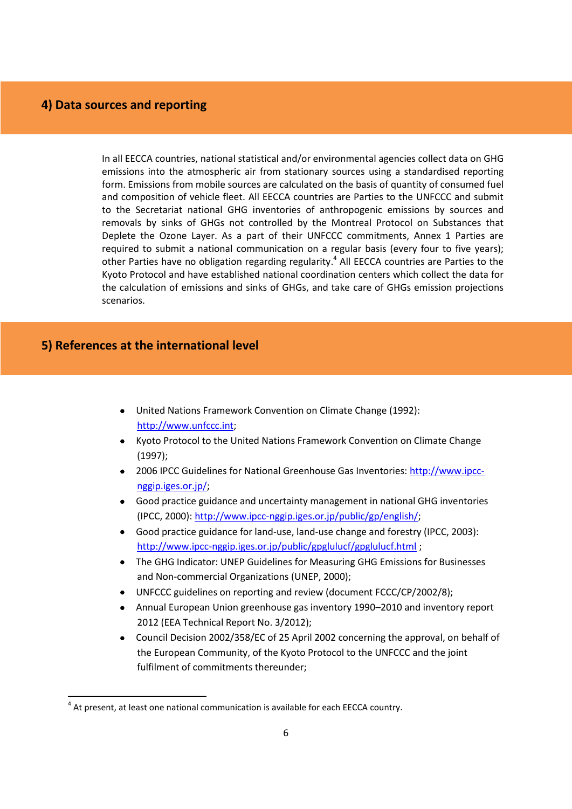# <span id="page-5-0"></span>**[4\) Data sources and reporting](#page-0-0)**

In all EECCA countries, national statistical and/or environmental agencies collect data on GHG emissions into the atmospheric air from stationary sources using a standardised reporting form. Emissions from mobile sources are calculated on the basis of quantity of consumed fuel and composition of vehicle fleet. All EECCA countries are Parties to the UNFCCC and submit to the Secretariat national GHG inventories of anthropogenic emissions by sources and removals by sinks of GHGs not controlled by the Montreal Protocol on Substances that Deplete the Ozone Layer. As a part of their UNFCCC commitments, Annex 1 Parties are required to submit a national communication on a regular basis (every four to five years); other Parties have no obligation regarding regularity.<sup>4</sup> All EECCA countries are Parties to the Kyoto Protocol and have established national coordination centers which collect the data for the calculation of emissions and sinks of GHGs, and take care of GHGs emission projections scenarios.

# <span id="page-5-1"></span>**[5\) References at the international level](#page-0-0)**

**.** 

- United Nations Framework Convention on Climate Change (1992): [http://www.unfccc.int;](http://www.unfccc.int/)
- Kyoto Protocol to the United Nations Framework Convention on Climate Change (1997);
- 2006 IPCC Guidelines for National Greenhouse Gas Inventories: [http://www.ipcc](http://www.ipcc-nggip.iges.or.jp/)[nggip.iges.or.jp/;](http://www.ipcc-nggip.iges.or.jp/)
- Good practice guidance and uncertainty management in national GHG inventories (IPCC, 2000)[: http://www.ipcc-nggip.iges.or.jp/public/gp/english/;](http://www.ipcc-nggip.iges.or.jp/public/gp/english/)
- Good practice guidance for land-use, land-use change and forestry (IPCC, 2003): <http://www.ipcc-nggip.iges.or.jp/public/gpglulucf/gpglulucf.html>;
- The GHG Indicator: UNEP Guidelines for Measuring GHG Emissions for Businesses and Non-commercial Organizations (UNEP, 2000);
- UNFCCC guidelines on reporting and review (document FCCC/CP/2002/8);
- Annual European Union greenhouse gas inventory 1990–2010 and inventory report 2012 (EEA Technical Report No. 3/2012);
- Council Decision 2002/358/EC of 25 April 2002 concerning the approval, on behalf of the European Community, of the Kyoto Protocol to the UNFCCC and the joint fulfilment of commitments thereunder;

 $<sup>4</sup>$  At present, at least one national communication is available for each EECCA country.</sup>